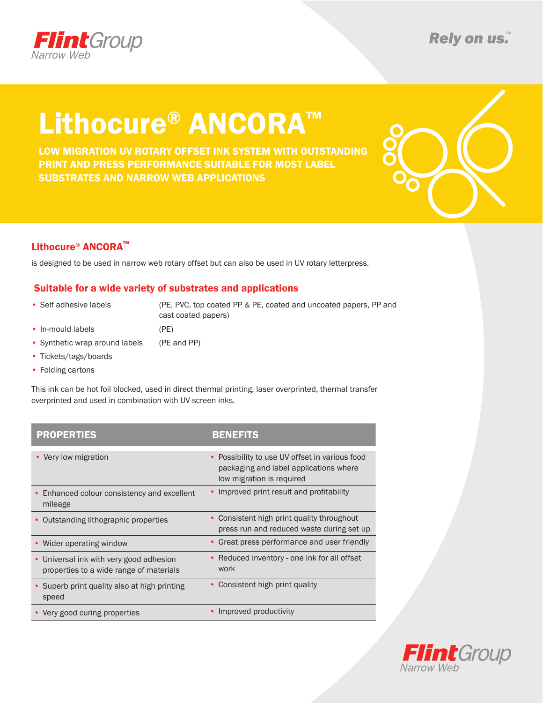

# Lithocure® ANCORA™

LOW MIGRATION UV ROTARY OFFSET INK SYSTEM WITH OUTSTANDING PRINT AND PRESS PERFORMANCE SUITABLE FOR MOST LABEL SUBSTRATES AND NARROW WEB APPLICATIONS



### Lithocure® ANCORA™

is designed to be used in narrow web rotary offset but can also be used in UV rotary letterpress.

### Suitable for a wide variety of substrates and applications

• Self adhesive labels (PE, PVC, top coated PP & PE, coated and uncoated papers, PP and cast coated papers)

- In-mould labels (PE)
- Synthetic wrap around labels (PE and PP)
- Tickets/tags/boards
- Folding cartons

This ink can be hot foil blocked, used in direct thermal printing, laser overprinted, thermal transfer overprinted and used in combination with UV screen inks.

| <b>PROPERTIES</b>                                                                  | <b>BENEFITS</b>                                                                                                       |
|------------------------------------------------------------------------------------|-----------------------------------------------------------------------------------------------------------------------|
| • Very low migration                                                               | • Possibility to use UV offset in various food<br>packaging and label applications where<br>low migration is required |
| Enhanced colour consistency and excellent<br>mileage                               | • Improved print result and profitability                                                                             |
| Outstanding lithographic properties                                                | • Consistent high print quality throughout<br>press run and reduced waste during set up                               |
| • Wider operating window                                                           | • Great press performance and user friendly                                                                           |
| • Universal ink with very good adhesion<br>properties to a wide range of materials | • Reduced inventory - one ink for all offset<br>work                                                                  |
| • Superb print quality also at high printing<br>speed                              | Consistent high print quality                                                                                         |
| • Very good curing properties                                                      | Improved productivity                                                                                                 |